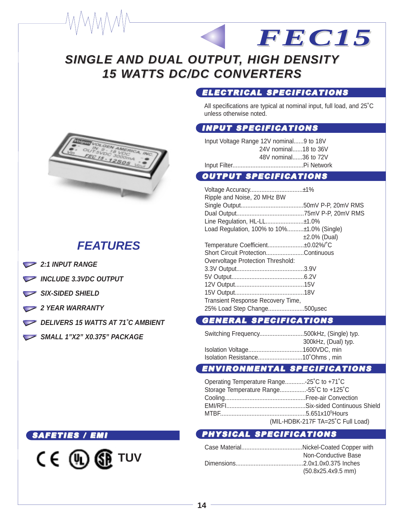# **SINGLE AND DUAL OUTPUT, HIGH DENSITY 15 WATTS DC/DC CONVERTERS**

#### ELECTRICAL SPECIFICATIONS

All specifications are typical at nominal input, full load, and 25˚C unless otherwise noted.

*FEC15*

#### INPUT SPECIFICATIONS

Input Voltage Range 12V nominal......9 to 18V 24V nominal......18 to 36V 48V nominal......36 to 72V Input Filter...........................................Pi Network

#### OUTPUT SPECIFICATIONS

Voltage Accuracy................................±1% Ripple and Noise, 20 MHz BW Single Output......................................50mV P-P, 20mV RMS Dual Output.........................................75mV P-P, 20mV RMS Line Regulation, HL-LL.......................±1.0% Load Regulation, 100% to 10%..........±1.0% (Single) ±2.0% (Dual) Temperature Coefficient......................±0.02%/˚C Short Circuit Protection.......................Continuous Overvoltage Protection Threshold: 3.3V Output.........................................3.9V 5V Output............................................6.2V 12V Output..........................................15V 15V Output..........................................18V Transient Response Recovery Time, 25% Load Step Change......................500µsec

#### GENERAL SPECIFICATIONS

| Switching Frequency500kHz, (Single) typ. |                     |
|------------------------------------------|---------------------|
|                                          | 300kHz, (Dual) typ. |
|                                          |                     |
|                                          |                     |

### ENVIRONMENTAL SPECIFICATIONS

| Operating Temperature Range-25°C to +71°C |
|-------------------------------------------|
| Storage Temperature Range55°C to +125°C   |
|                                           |
|                                           |
|                                           |
| (MIL-HDBK-217F TA=25°C Full Load)         |

## PHYSICAL SPECIFICATIONS

| Non-Conductive Base  |
|----------------------|
|                      |
| $(50.8x25.4x9.5$ mm) |



## **FEATURES**

- **2:1 INPUT RANGE**
- **INCLUDE 3.3VDC OUTPUT**
- SIX-SIDED SHIELD
- **2 YEAR WARRANTY**
- **DELIVERS 15 WATTS AT 71°C AMBIENT**
- **SMALL 1"X2" X0.375" PACKAGE**

#### SAFETIES / EMI